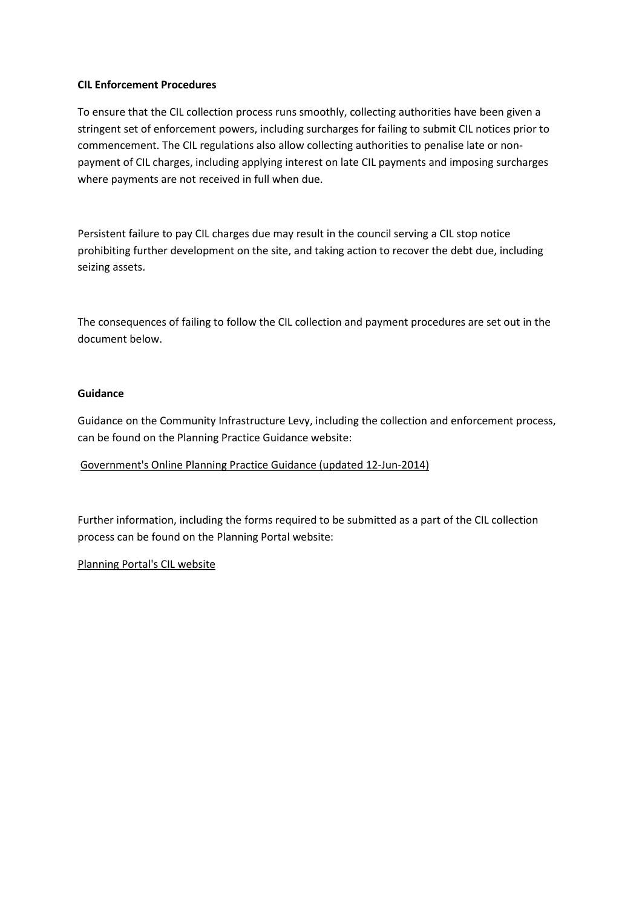### **CIL Enforcement Procedures**

To ensure that the CIL collection process runs smoothly, collecting authorities have been given a stringent set of enforcement powers, including surcharges for failing to submit CIL notices prior to commencement. The CIL regulations also allow collecting authorities to penalise late or nonpayment of CIL charges, including applying interest on late CIL payments and imposing surcharges where payments are not received in full when due.

Persistent failure to pay CIL charges due may result in the council serving a CIL stop notice prohibiting further development on the site, and taking action to recover the debt due, including seizing assets.

The consequences of failing to follow the CIL collection and payment procedures are set out in the document below.

### **Guidance**

Guidance on the Community Infrastructure Levy, including the collection and enforcement process, can be found on the Planning Practice Guidance website:

# [Government's Online Planning Practice Guidance \(updated 12-Jun-2014\)](http://planningguidance.planningportal.gov.uk/blog/guidance/community-infrastructure-levy/collecting-the-levy/)

Further information, including the forms required to be submitted as a part of the CIL collection process can be found on the Planning Portal website:

# [Planning Portal's CIL website](http://www.planningportal.gov.uk/planning/applications/howtoapply/whattosubmit/cil)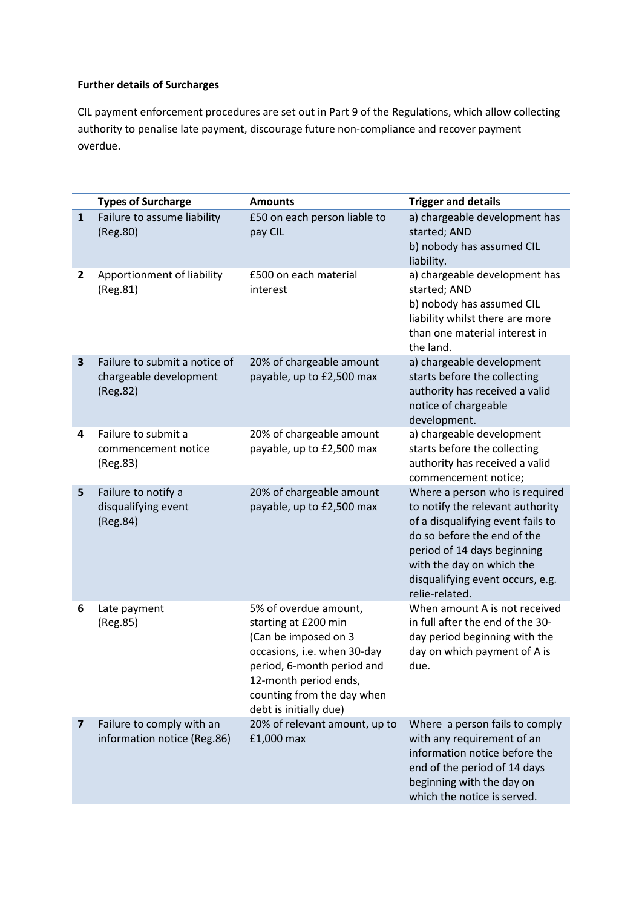### **Further details of Surcharges**

CIL payment enforcement procedures are set out in Part 9 of the Regulations, which allow collecting authority to penalise late payment, discourage future non-compliance and recover payment overdue.

|              | <b>Types of Surcharge</b>                                           | <b>Amounts</b>                                                                                                                                                                                                      | <b>Trigger and details</b>                                                                                                                                                                                                                               |
|--------------|---------------------------------------------------------------------|---------------------------------------------------------------------------------------------------------------------------------------------------------------------------------------------------------------------|----------------------------------------------------------------------------------------------------------------------------------------------------------------------------------------------------------------------------------------------------------|
| $\mathbf{1}$ | Failure to assume liability<br>(Reg.80)                             | £50 on each person liable to<br>pay CIL                                                                                                                                                                             | a) chargeable development has<br>started; AND<br>b) nobody has assumed CIL<br>liability.                                                                                                                                                                 |
| $\mathbf{2}$ | Apportionment of liability<br>(Reg.81)                              | £500 on each material<br>interest                                                                                                                                                                                   | a) chargeable development has<br>started; AND<br>b) nobody has assumed CIL<br>liability whilst there are more<br>than one material interest in<br>the land.                                                                                              |
| 3            | Failure to submit a notice of<br>chargeable development<br>(Reg.82) | 20% of chargeable amount<br>payable, up to £2,500 max                                                                                                                                                               | a) chargeable development<br>starts before the collecting<br>authority has received a valid<br>notice of chargeable<br>development.                                                                                                                      |
| 4            | Failure to submit a<br>commencement notice<br>(Reg.83)              | 20% of chargeable amount<br>payable, up to £2,500 max                                                                                                                                                               | a) chargeable development<br>starts before the collecting<br>authority has received a valid<br>commencement notice;                                                                                                                                      |
| 5            | Failure to notify a<br>disqualifying event<br>(Reg.84)              | 20% of chargeable amount<br>payable, up to £2,500 max                                                                                                                                                               | Where a person who is required<br>to notify the relevant authority<br>of a disqualifying event fails to<br>do so before the end of the<br>period of 14 days beginning<br>with the day on which the<br>disqualifying event occurs, e.g.<br>relie-related. |
| 6            | Late payment<br>(Reg.85)                                            | 5% of overdue amount,<br>starting at £200 min<br>(Can be imposed on 3<br>occasions, i.e. when 30-day<br>period, 6-month period and<br>12-month period ends,<br>counting from the day when<br>debt is initially due) | When amount A is not received<br>in full after the end of the 30-<br>day period beginning with the<br>day on which payment of A is<br>due.                                                                                                               |
| 7            | Failure to comply with an<br>information notice (Reg.86)            | 20% of relevant amount, up to<br>£1,000 max                                                                                                                                                                         | Where a person fails to comply<br>with any requirement of an<br>information notice before the<br>end of the period of 14 days<br>beginning with the day on<br>which the notice is served.                                                                |